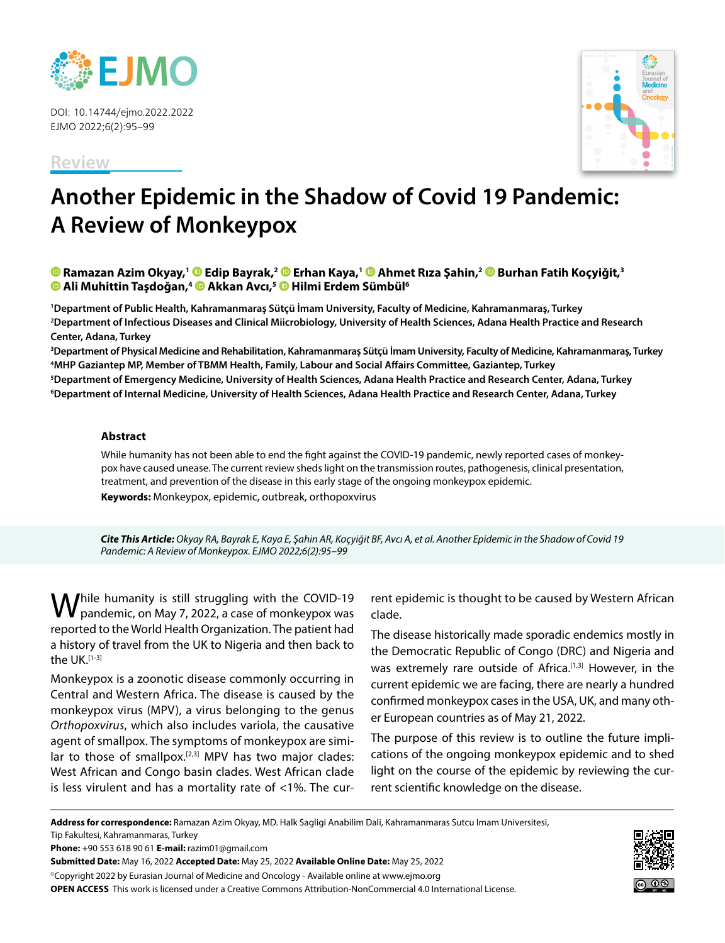

DOI: 10.14744/ejmo.2022.2022 EJMO 2022;6(2):95–99

**Review**



# **Another Epidemic in the Shadow of Covid 19 Pandemic: A Review of Monkeypox**

**Ramazan Azim Okyay,1Edip Bayrak,2Erhan Kaya,1 [A](https://orcid.org/0000-0002-4415-076X
)hmet Rıza Şahin,2Burhan Fatih Koçyiğit,3 Ali Muhittin Taşdoğan,4Akkan Avcı,5Hilmi Erdem Sümbül6**

**1 Department of Public Health, Kahramanmaraş Sütçü İmam University, Faculty of Medicine, Kahramanmaraş, Turkey 2 Department of Infectious Diseases and Clinical Miicrobiology, University of Health Sciences, Adana Health Practice and Research Center, Adana, Turkey**

 **Department of Physical Medicine and Rehabilitation, Kahramanmaraş Sütçü İmam University, Faculty of Medicine, Kahramanmaraş, Turkey MHP Gaziantep MP, Member of TBMM Health, Family, Labour and Social Affairs Committee, Gaziantep, Turkey Department of Emergency Medicine, University of Health Sciences, Adana Health Practice and Research Center, Adana, Turkey Department of Internal Medicine, University of Health Sciences, Adana Health Practice and Research Center, Adana, Turkey**

### **Abstract**

While humanity has not been able to end the fight against the COVID-19 pandemic, newly reported cases of monkeypox have caused unease. The current review sheds light on the transmission routes, pathogenesis, clinical presentation, treatment, and prevention of the disease in this early stage of the ongoing monkeypox epidemic. **Keywords:** Monkeypox, epidemic, outbreak, orthopoxvirus

*Cite This Article: Okyay RA, Bayrak E, Kaya E, Şahin AR, Koçyiğit BF, Avcı A, et al. Another Epidemic in the Shadow of Covid 19 Pandemic: A Review of Monkeypox. EJMO 2022;6(2):95–99*

While humanity is still struggling with the COVID-19 pandemic, on May 7, 2022, a case of monkeypox was reported to the World Health Organization. The patient had a history of travel from the UK to Nigeria and then back to the  $UK.$ <sup>[1-3]</sup>

Monkeypox is a zoonotic disease commonly occurring in Central and Western Africa. The disease is caused by the monkeypox virus (MPV), a virus belonging to the genus *Orthopoxvirus*, which also includes variola, the causative agent of smallpox. The symptoms of monkeypox are similar to those of smallpox.<sup>[2,3]</sup> MPV has two major clades: West African and Congo basin clades. West African clade is less virulent and has a mortality rate of <1%. The cur-

rent epidemic is thought to be caused by Western African clade.

The disease historically made sporadic endemics mostly in the Democratic Republic of Congo (DRC) and Nigeria and was extremely rare outside of Africa.<sup>[1,3]</sup> However, in the current epidemic we are facing, there are nearly a hundred confirmed monkeypox cases in the USA, UK, and many other European countries as of May 21, 2022.

The purpose of this review is to outline the future implications of the ongoing monkeypox epidemic and to shed light on the course of the epidemic by reviewing the current scientific knowledge on the disease.

**Address for correspondence:** Ramazan Azim Okyay, MD. Halk Sagligi Anabilim Dali, Kahramanmaras Sutcu Imam Universitesi, Tip Fakultesi, Kahramanmaras, Turkey

**Phone:** +90 553 618 90 61 **E-mail:** razim01@gmail.com

**Submitted Date:** May 16, 2022 **Accepted Date:** May 25, 2022 **Available Online Date:** May 25, 2022

©Copyright 2022 by Eurasian Journal of Medicine and Oncology - Available online at www.ejmo.org **OPEN ACCESS** This work is licensed under a Creative Commons Attribution-NonCommercial 4.0 International License.

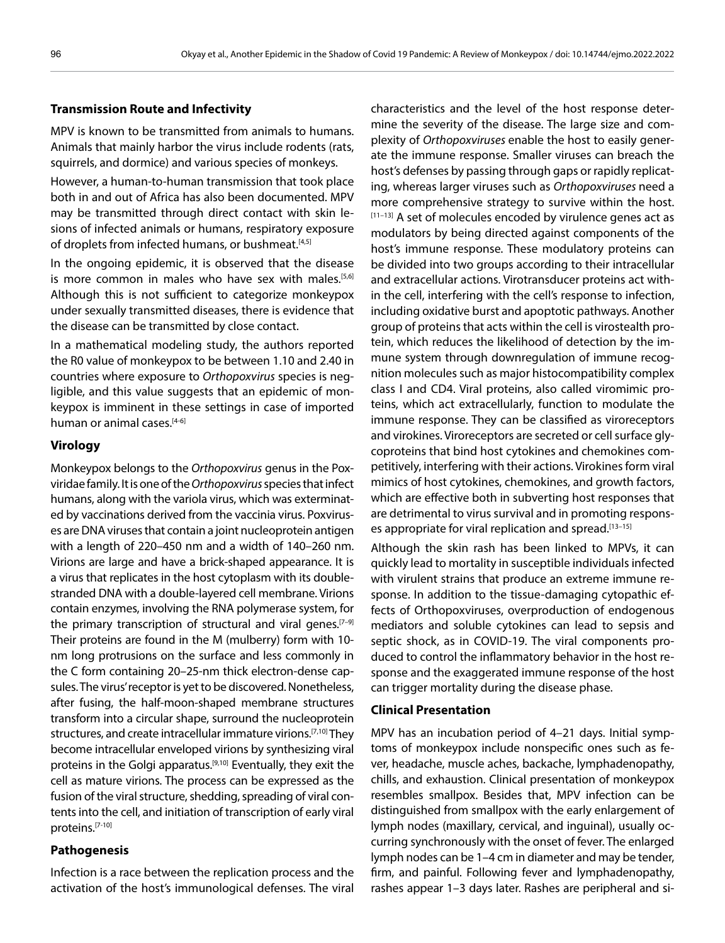#### **Transmission Route and Infectivity**

MPV is known to be transmitted from animals to humans. Animals that mainly harbor the virus include rodents (rats, squirrels, and dormice) and various species of monkeys.

However, a human-to-human transmission that took place both in and out of Africa has also been documented. MPV may be transmitted through direct contact with skin lesions of infected animals or humans, respiratory exposure of droplets from infected humans, or bushmeat.<sup>[4,5]</sup>

In the ongoing epidemic, it is observed that the disease is more common in males who have sex with males.<sup>[5,6]</sup> Although this is not sufficient to categorize monkeypox under sexually transmitted diseases, there is evidence that the disease can be transmitted by close contact.

In a mathematical modeling study, the authors reported the R0 value of monkeypox to be between 1.10 and 2.40 in countries where exposure to *Orthopoxvirus* species is negligible, and this value suggests that an epidemic of monkeypox is imminent in these settings in case of imported human or animal cases.<sup>[4-6]</sup>

#### **Virology**

Monkeypox belongs to the *Orthopoxvirus* genus in the Poxviridae family. It is one of the *Orthopoxvirus* species that infect humans, along with the variola virus, which was exterminated by vaccinations derived from the vaccinia virus. Poxviruses are DNA viruses that contain a joint nucleoprotein antigen with a length of 220–450 nm and a width of 140–260 nm. Virions are large and have a brick-shaped appearance. It is a virus that replicates in the host cytoplasm with its doublestranded DNA with a double-layered cell membrane. Virions contain enzymes, involving the RNA polymerase system, for the primary transcription of structural and viral genes.<sup>[7-9]</sup> Their proteins are found in the M (mulberry) form with 10 nm long protrusions on the surface and less commonly in the C form containing 20–25-nm thick electron-dense capsules. The virus' receptor is yet to be discovered. Nonetheless, after fusing, the half-moon-shaped membrane structures transform into a circular shape, surround the nucleoprotein structures, and create intracellular immature virions.<sup>[7,10]</sup> They become intracellular enveloped virions by synthesizing viral proteins in the Golgi apparatus.<sup>[9,10]</sup> Eventually, they exit the cell as mature virions. The process can be expressed as the fusion of the viral structure, shedding, spreading of viral contents into the cell, and initiation of transcription of early viral proteins.[7-10]

#### **Pathogenesis**

Infection is a race between the replication process and the activation of the host's immunological defenses. The viral characteristics and the level of the host response determine the severity of the disease. The large size and complexity of *Orthopoxviruses* enable the host to easily generate the immune response. Smaller viruses can breach the host's defenses by passing through gaps or rapidly replicating, whereas larger viruses such as *Orthopoxviruses* need a more comprehensive strategy to survive within the host.  $[11-13]$  A set of molecules encoded by virulence genes act as modulators by being directed against components of the host's immune response. These modulatory proteins can be divided into two groups according to their intracellular and extracellular actions. Virotransducer proteins act within the cell, interfering with the cell's response to infection, including oxidative burst and apoptotic pathways. Another group of proteins that acts within the cell is virostealth protein, which reduces the likelihood of detection by the immune system through downregulation of immune recognition molecules such as major histocompatibility complex class I and CD4. Viral proteins, also called viromimic proteins, which act extracellularly, function to modulate the immune response. They can be classified as viroreceptors and virokines. Viroreceptors are secreted or cell surface glycoproteins that bind host cytokines and chemokines competitively, interfering with their actions. Virokines form viral mimics of host cytokines, chemokines, and growth factors, which are effective both in subverting host responses that are detrimental to virus survival and in promoting responses appropriate for viral replication and spread.<sup>[13-15]</sup>

Although the skin rash has been linked to MPVs, it can quickly lead to mortality in susceptible individuals infected with virulent strains that produce an extreme immune response. In addition to the tissue-damaging cytopathic effects of Orthopoxviruses, overproduction of endogenous mediators and soluble cytokines can lead to sepsis and septic shock, as in COVID-19. The viral components produced to control the inflammatory behavior in the host response and the exaggerated immune response of the host can trigger mortality during the disease phase.

#### **Clinical Presentation**

MPV has an incubation period of 4–21 days. Initial symptoms of monkeypox include nonspecific ones such as fever, headache, muscle aches, backache, lymphadenopathy, chills, and exhaustion. Clinical presentation of monkeypox resembles smallpox. Besides that, MPV infection can be distinguished from smallpox with the early enlargement of lymph nodes (maxillary, cervical, and inguinal), usually occurring synchronously with the onset of fever. The enlarged lymph nodes can be 1–4 cm in diameter and may be tender, firm, and painful. Following fever and lymphadenopathy, rashes appear 1–3 days later. Rashes are peripheral and si-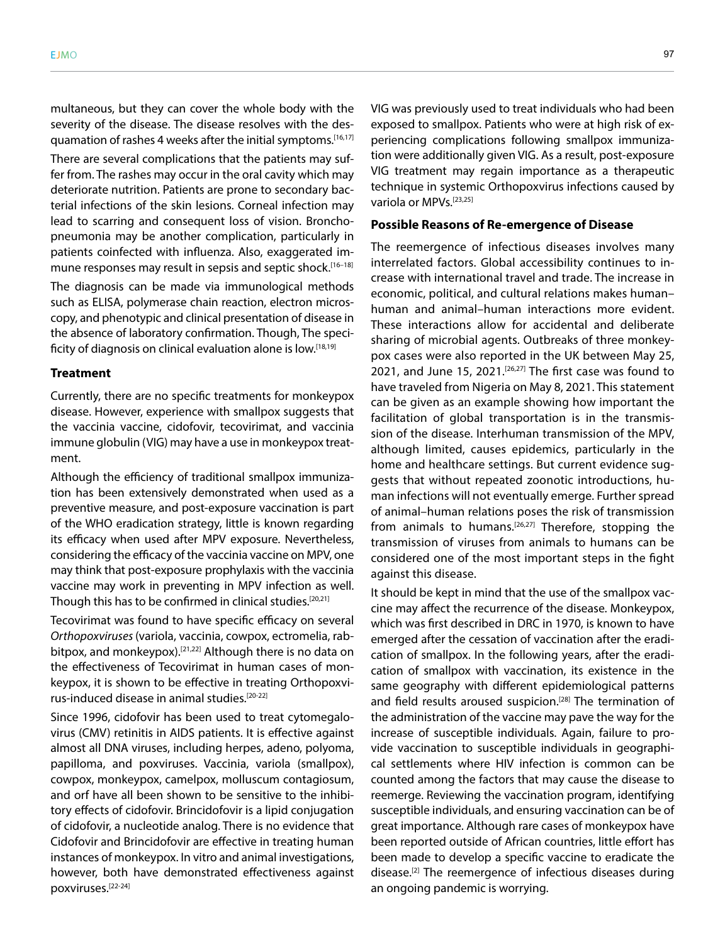multaneous, but they can cover the whole body with the severity of the disease. The disease resolves with the desquamation of rashes 4 weeks after the initial symptoms.<sup>[16,17]</sup> There are several complications that the patients may suffer from. The rashes may occur in the oral cavity which may deteriorate nutrition. Patients are prone to secondary bacterial infections of the skin lesions. Corneal infection may lead to scarring and consequent loss of vision. Bronchopneumonia may be another complication, particularly in patients coinfected with influenza. Also, exaggerated immune responses may result in sepsis and septic shock.<sup>[16-18]</sup>

The diagnosis can be made via immunological methods such as ELISA, polymerase chain reaction, electron microscopy, and phenotypic and clinical presentation of disease in the absence of laboratory confirmation. Though, The specificity of diagnosis on clinical evaluation alone is low.<sup>[18,19]</sup>

#### **Treatment**

Currently, there are no specific treatments for monkeypox disease. However, experience with smallpox suggests that the vaccinia vaccine, cidofovir, tecovirimat, and vaccinia immune globulin (VIG) may have a use in monkeypox treatment.

Although the efficiency of traditional smallpox immunization has been extensively demonstrated when used as a preventive measure, and post-exposure vaccination is part of the WHO eradication strategy, little is known regarding its efficacy when used after MPV exposure. Nevertheless, considering the efficacy of the vaccinia vaccine on MPV, one may think that post-exposure prophylaxis with the vaccinia vaccine may work in preventing in MPV infection as well. Though this has to be confirmed in clinical studies.[20,21]

Tecovirimat was found to have specific efficacy on several *Orthopoxviruses* (variola, vaccinia, cowpox, ectromelia, rabbitpox, and monkeypox).<sup>[21,22]</sup> Although there is no data on the effectiveness of Tecovirimat in human cases of monkeypox, it is shown to be effective in treating Orthopoxvirus-induced disease in animal studies.[20-22]

Since 1996, cidofovir has been used to treat cytomegalovirus (CMV) retinitis in AIDS patients. It is effective against almost all DNA viruses, including herpes, adeno, polyoma, papilloma, and poxviruses. Vaccinia, variola (smallpox), cowpox, monkeypox, camelpox, molluscum contagiosum, and orf have all been shown to be sensitive to the inhibitory effects of cidofovir. Brincidofovir is a lipid conjugation of cidofovir, a nucleotide analog. There is no evidence that Cidofovir and Brincidofovir are effective in treating human instances of monkeypox. In vitro and animal investigations, however, both have demonstrated effectiveness against poxviruses.[22-24]

VIG was previously used to treat individuals who had been exposed to smallpox. Patients who were at high risk of experiencing complications following smallpox immunization were additionally given VIG. As a result, post-exposure VIG treatment may regain importance as a therapeutic technique in systemic Orthopoxvirus infections caused by variola or MPVs.<sup>[23,25]</sup>

#### **Possible Reasons of Re-emergence of Disease**

The reemergence of infectious diseases involves many interrelated factors. Global accessibility continues to increase with international travel and trade. The increase in economic, political, and cultural relations makes human– human and animal–human interactions more evident. These interactions allow for accidental and deliberate sharing of microbial agents. Outbreaks of three monkeypox cases were also reported in the UK between May 25, 2021, and June 15, 2021.<sup>[26,27]</sup> The first case was found to have traveled from Nigeria on May 8, 2021. This statement can be given as an example showing how important the facilitation of global transportation is in the transmission of the disease. Interhuman transmission of the MPV, although limited, causes epidemics, particularly in the home and healthcare settings. But current evidence suggests that without repeated zoonotic introductions, human infections will not eventually emerge. Further spread of animal–human relations poses the risk of transmission from animals to humans.<sup>[26,27]</sup> Therefore, stopping the transmission of viruses from animals to humans can be considered one of the most important steps in the fight against this disease.

It should be kept in mind that the use of the smallpox vaccine may affect the recurrence of the disease. Monkeypox, which was first described in DRC in 1970, is known to have emerged after the cessation of vaccination after the eradication of smallpox. In the following years, after the eradication of smallpox with vaccination, its existence in the same geography with different epidemiological patterns and field results aroused suspicion.<sup>[28]</sup> The termination of the administration of the vaccine may pave the way for the increase of susceptible individuals. Again, failure to provide vaccination to susceptible individuals in geographical settlements where HIV infection is common can be counted among the factors that may cause the disease to reemerge. Reviewing the vaccination program, identifying susceptible individuals, and ensuring vaccination can be of great importance. Although rare cases of monkeypox have been reported outside of African countries, little effort has been made to develop a specific vaccine to eradicate the disease.[2] The reemergence of infectious diseases during an ongoing pandemic is worrying.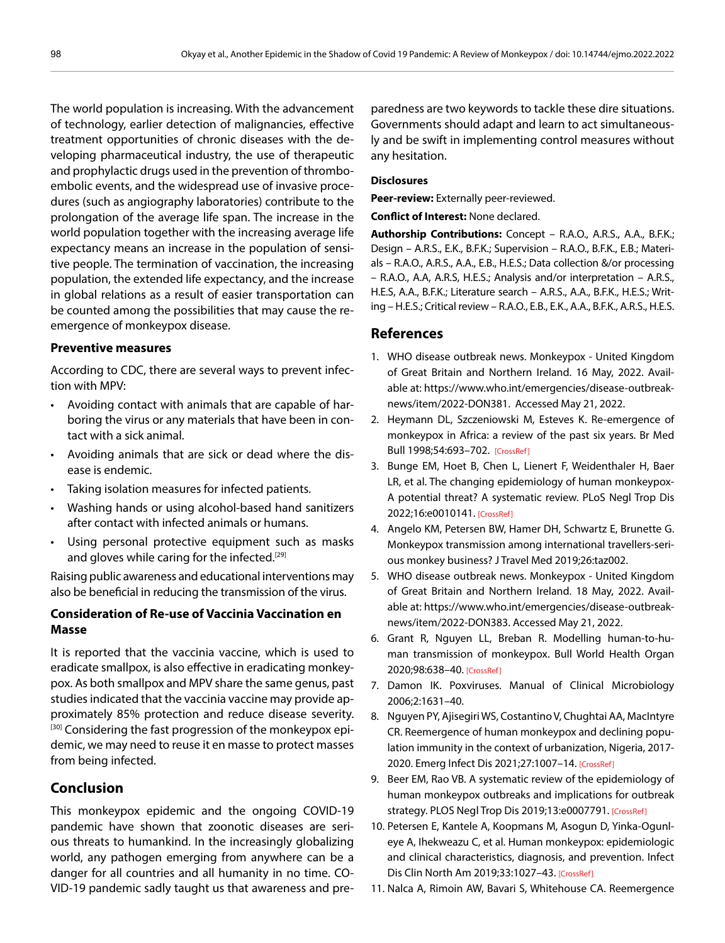The world population is increasing. With the advancement of technology, earlier detection of malignancies, effective treatment opportunities of chronic diseases with the developing pharmaceutical industry, the use of therapeutic and prophylactic drugs used in the prevention of thromboembolic events, and the widespread use of invasive procedures (such as angiography laboratories) contribute to the prolongation of the average life span. The increase in the world population together with the increasing average life expectancy means an increase in the population of sensitive people. The termination of vaccination, the increasing population, the extended life expectancy, and the increase in global relations as a result of easier transportation can be counted among the possibilities that may cause the reemergence of monkeypox disease.

## **Preventive measures**

According to CDC, there are several ways to prevent infection with MPV:

- Avoiding contact with animals that are capable of harboring the virus or any materials that have been in contact with a sick animal.
- Avoiding animals that are sick or dead where the disease is endemic.
- Taking isolation measures for infected patients.
- Washing hands or using alcohol-based hand sanitizers after contact with infected animals or humans.
- Using personal protective equipment such as masks and gloves while caring for the infected.<sup>[29]</sup>

Raising public awareness and educational interventions may also be beneficial in reducing the transmission of the virus.

# **Consideration of Re-use of Vaccinia Vaccination en Masse**

It is reported that the vaccinia vaccine, which is used to eradicate smallpox, is also effective in eradicating monkeypox. As both smallpox and MPV share the same genus, past studies indicated that the vaccinia vaccine may provide approximately 85% protection and reduce disease severity. <sup>[30]</sup> Considering the fast progression of the monkeypox epidemic, we may need to reuse it en masse to protect masses from being infected.

# **Conclusion**

This monkeypox epidemic and the ongoing COVID-19 pandemic have shown that zoonotic diseases are serious threats to humankind. In the increasingly globalizing world, any pathogen emerging from anywhere can be a danger for all countries and all humanity in no time. CO-VID-19 pandemic sadly taught us that awareness and pre-

paredness are two keywords to tackle these dire situations. Governments should adapt and learn to act simultaneously and be swift in implementing control measures without any hesitation.

#### **Disclosures**

**Peer-review:** Externally peer-reviewed.

**Conflict of Interest:** None declared.

**Authorship Contributions:** Concept – R.A.O., A.R.S., A.A., B.F.K.; Design – A.R.S., E.K., B.F.K.; Supervision – R.A.O., B.F.K., E.B.; Materials – R.A.O., A.R.S., A.A., E.B., H.E.S.; Data collection &/or processing – R.A.O., A.A, A.R.S, H.E.S.; Analysis and/or interpretation – A.R.S., H.E.S, A.A., B.F.K.; Literature search – A.R.S., A.A., B.F.K., H.E.S.; Writing – H.E.S.; Critical review – R.A.O., E.B., E.K., A.A., B.F.K., A.R.S., H.E.S.

## **References**

- 1. WHO disease outbreak news. Monkeypox United Kingdom of Great Britain and Northern Ireland. 16 May, 2022. Available at: https://www.who.int/emergencies/disease-outbreaknews/item/2022-DON381. Accessed May 21, 2022.
- 2. Heymann DL, Szczeniowski M, Esteves K. Re-emergence of monkeypox in Africa: a review of the past six years. Br Med Bull 1998;54:693–702. [\[CrossRef\]](https://doi.org/10.1093/oxfordjournals.bmb.a011720)
- 3. Bunge EM, Hoet B, Chen L, Lienert F, Weidenthaler H, Baer LR, et al. The changing epidemiology of human monkeypox-A potential threat? A systematic review. PLoS Negl Trop Dis 2022;16:e0010141[. \[CrossRef\]](https://doi.org/10.1371/journal.pntd.0010141)
- 4. Angelo KM, Petersen BW, Hamer DH, Schwartz E, Brunette G. Monkeypox transmission among international travellers-serious monkey business? J Travel Med 20[19;26:taz002](https://doi.org/10.1093/jtm/taz002).
- 5. WHO disease outbreak news. Monkeypox United Kingdom of Great Britain and Northern Ireland. 18 May, 2022. Available at: https://www.who.int/emergencies/disease-outbreaknews/item/2022-DON383. Accessed May 21, 2022.
- 6. Grant R, Nguyen LL, Breban R. Modelling human-to-human transmission of monkeypox. Bull World Health Organ 2020;98:638–4[0. \[CrossRef\]](https://doi.org/10.2471/BLT.19.242347)
- 7. Damon IK. Poxviruses. Manual of Clinical Microbiology 2006;2:1631–40.
- 8. Nguyen PY, Ajisegiri WS, Costantino V, Chughtai AA, MacIntyre CR. Reemergence of human monkeypox and declining population immunity in the context of urbanization, Nigeria, 2017- 2020. Emerg Infect Dis 2021;27:1007–1[4. \[CrossRef\]](https://doi.org/10.3201/203569)
- 9. Beer EM, Rao VB. A systematic review of the epidemiology of human monkeypox outbreaks and implications for outbreak strategy. PLOS Negl Trop Dis 2019;13:e0007791[. \[CrossRef\]](https://doi.org/10.1371/journal.pntd.0007791)
- 10. Petersen E, Kantele A, Koopmans M, Asogun D, Yinka-Ogunleye A, Ihekweazu C, et al. Human monkeypox: epidemiologic and clinical characteristics, diagnosis, and prevention. Infect Dis Clin North Am 2019;33:1027–4[3. \[CrossRef\]](https://doi.org/10.1016/j.idc.2019.03.001)
- 11. Nalca A, Rimoin AW, Bavari S, Whitehouse CA. Reemergence